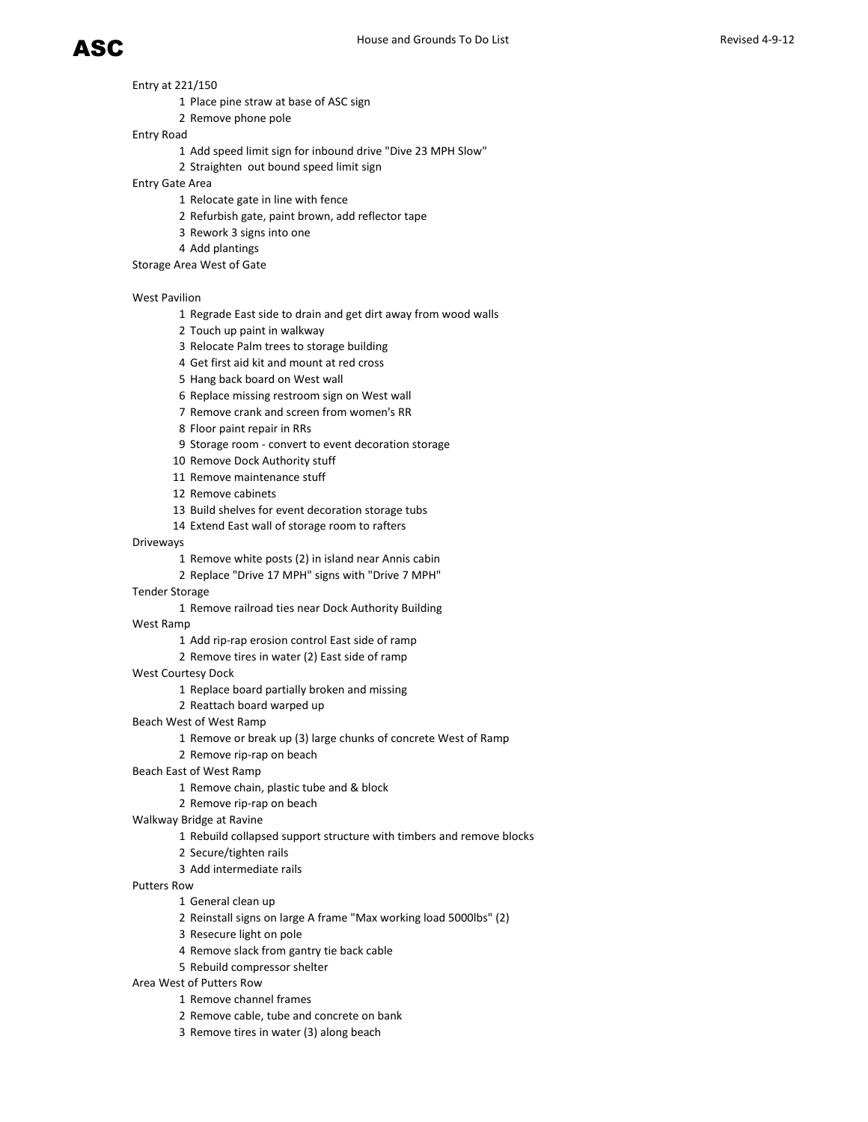- Entry at 221/150
	- Place pine straw at base of ASC sign
	- Remove phone pole

# Entry Road

- Add speed limit sign for inbound drive "Dive 23 MPH Slow"
- Straighten out bound speed limit sign

# Entry Gate Area

- Relocate gate in line with fence
- Refurbish gate, paint brown, add reflector tape
- Rework 3 signs into one
- Add plantings
- Storage Area West of Gate

# West Pavilion

- Regrade East side to drain and get dirt away from wood walls
- Touch up paint in walkway
- Relocate Palm trees to storage building
- Get first aid kit and mount at red cross
- Hang back board on West wall
- Replace missing restroom sign on West wall
- Remove crank and screen from women's RR
- Floor paint repair in RRs
- Storage room convert to event decoration storage
- Remove Dock Authority stuff
- Remove maintenance stuff
- Remove cabinets
- Build shelves for event decoration storage tubs
- Extend East wall of storage room to rafters

# Driveways

- Remove white posts (2) in island near Annis cabin
- Replace "Drive 17 MPH" signs with "Drive 7 MPH"

# Tender Storage

Remove railroad ties near Dock Authority Building

# West Ramp

- Add rip-rap erosion control East side of ramp
- Remove tires in water (2) East side of ramp

# West Courtesy Dock

- Replace board partially broken and missing
- Reattach board warped up

# Beach West of West Ramp

- Remove or break up (3) large chunks of concrete West of Ramp
- Remove rip-rap on beach

# Beach East of West Ramp

- Remove chain, plastic tube and & block
- Remove rip-rap on beach

# Walkway Bridge at Ravine

- Rebuild collapsed support structure with timbers and remove blocks
- Secure/tighten rails
- Add intermediate rails

# Putters Row

- General clean up
- Reinstall signs on large A frame "Max working load 5000lbs" (2)
- Resecure light on pole
- Remove slack from gantry tie back cable
- Rebuild compressor shelter

# Area West of Putters Row

- Remove channel frames
- Remove cable, tube and concrete on bank
- Remove tires in water (3) along beach